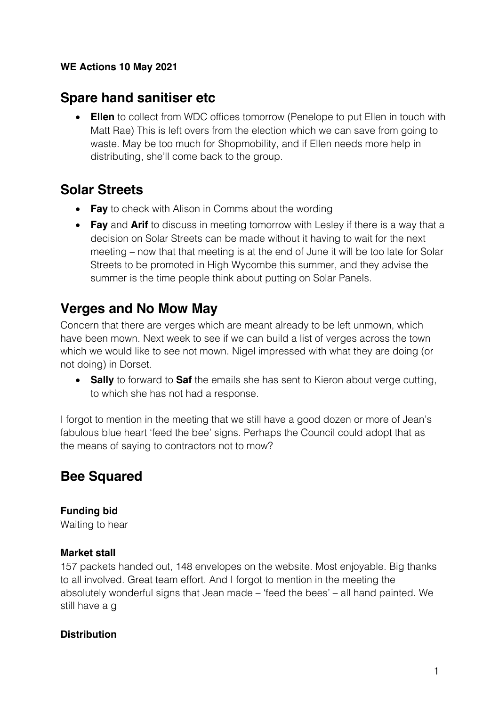### **WE Actions 10 May 2021**

# **Spare hand sanitiser etc**

• **Ellen** to collect from WDC offices tomorrow (Penelope to put Ellen in touch with Matt Rae) This is left overs from the election which we can save from going to waste. May be too much for Shopmobility, and if Ellen needs more help in distributing, she'll come back to the group.

# **Solar Streets**

- **Fay** to check with Alison in Comms about the wording
- **Fay** and **Arif** to discuss in meeting tomorrow with Lesley if there is a way that a decision on Solar Streets can be made without it having to wait for the next meeting – now that that meeting is at the end of June it will be too late for Solar Streets to be promoted in High Wycombe this summer, and they advise the summer is the time people think about putting on Solar Panels.

# **Verges and No Mow May**

Concern that there are verges which are meant already to be left unmown, which have been mown. Next week to see if we can build a list of verges across the town which we would like to see not mown. Nigel impressed with what they are doing (or not doing) in Dorset.

• **Sally** to forward to **Saf** the emails she has sent to Kieron about verge cutting, to which she has not had a response.

I forgot to mention in the meeting that we still have a good dozen or more of Jean's fabulous blue heart 'feed the bee' signs. Perhaps the Council could adopt that as the means of saying to contractors not to mow?

# **Bee Squared**

**Funding bid** Waiting to hear

#### **Market stall**

157 packets handed out, 148 envelopes on the website. Most enjoyable. Big thanks to all involved. Great team effort. And I forgot to mention in the meeting the absolutely wonderful signs that Jean made – 'feed the bees' – all hand painted. We still have a g

# **Distribution**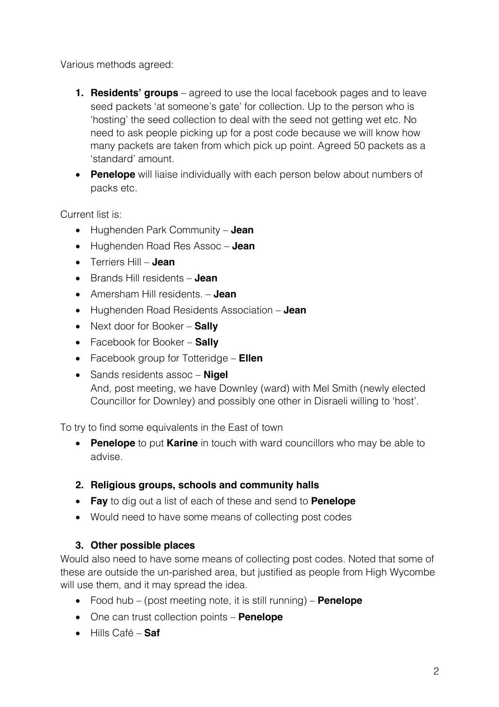Various methods agreed:

- **1. Residents' groups** agreed to use the local facebook pages and to leave seed packets 'at someone's gate' for collection. Up to the person who is 'hosting' the seed collection to deal with the seed not getting wet etc. No need to ask people picking up for a post code because we will know how many packets are taken from which pick up point. Agreed 50 packets as a 'standard' amount.
- **Penelope** will liaise individually with each person below about numbers of packs etc.

Current list is:

- Hughenden Park Community **Jean**
- Hughenden Road Res Assoc **Jean**
- Terriers Hill **Jean**
- Brands Hill residents **Jean**
- Amersham Hill residents. **Jean**
- Hughenden Road Residents Association **Jean**
- Next door for Booker **Sally**
- Facebook for Booker **Sally**
- Facebook group for Totteridge **Ellen**
- Sands residents assoc **Nigel** And, post meeting, we have Downley (ward) with Mel Smith (newly elected Councillor for Downley) and possibly one other in Disraeli willing to 'host'.

To try to find some equivalents in the East of town

• **Penelope** to put **Karine** in touch with ward councillors who may be able to advise.

# **2. Religious groups, schools and community halls**

- **Fay** to dig out a list of each of these and send to **Penelope**
- Would need to have some means of collecting post codes

#### **3. Other possible places**

Would also need to have some means of collecting post codes. Noted that some of these are outside the un-parished area, but justified as people from High Wycombe will use them, and it may spread the idea.

- Food hub (post meeting note, it is still running) **Penelope**
- One can trust collection points **Penelope**
- Hills Café **Saf**